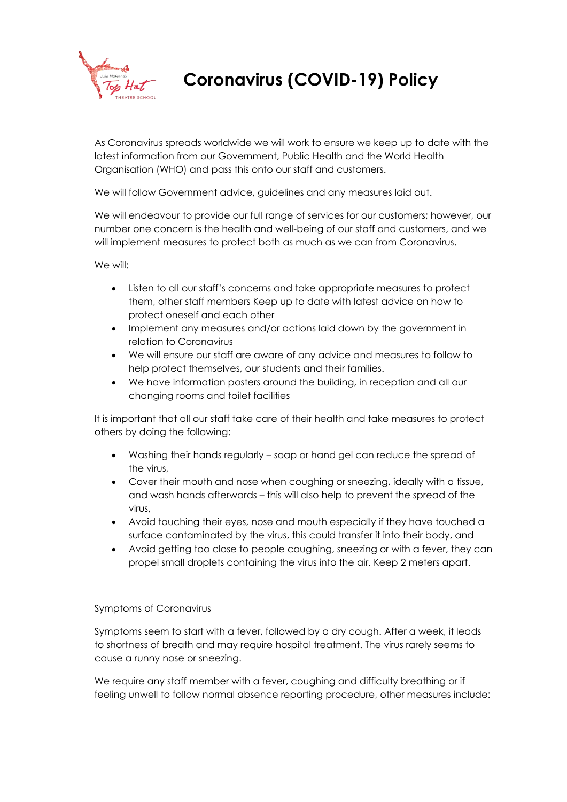

## **Coronavirus (COVID-19) Policy**

As Coronavirus spreads worldwide we will work to ensure we keep up to date with the latest information from our Government, Public Health and the World Health Organisation (WHO) and pass this onto our staff and customers.

We will follow Government advice, guidelines and any measures laid out.

We will endeavour to provide our full range of services for our customers; however, our number one concern is the health and well-being of our staff and customers, and we will implement measures to protect both as much as we can from Coronavirus.

We will:

- Listen to all our staff's concerns and take appropriate measures to protect them, other staff members Keep up to date with latest advice on how to protect oneself and each other
- Implement any measures and/or actions laid down by the government in relation to Coronavirus
- We will ensure our staff are aware of any advice and measures to follow to help protect themselves, our students and their families.
- We have information posters around the building, in reception and all our changing rooms and toilet facilities

It is important that all our staff take care of their health and take measures to protect others by doing the following:

- Washing their hands regularly soap or hand gel can reduce the spread of the virus,
- Cover their mouth and nose when coughing or sneezing, ideally with a tissue, and wash hands afterwards – this will also help to prevent the spread of the virus,
- Avoid touching their eyes, nose and mouth especially if they have touched a surface contaminated by the virus, this could transfer it into their body, and
- Avoid getting too close to people coughing, sneezing or with a fever, they can propel small droplets containing the virus into the air. Keep 2 meters apart.

## Symptoms of Coronavirus

Symptoms seem to start with a fever, followed by a dry cough. After a week, it leads to shortness of breath and may require hospital treatment. The virus rarely seems to cause a runny nose or sneezing.

We require any staff member with a fever, coughing and difficulty breathing or if feeling unwell to follow normal absence reporting procedure, other measures include: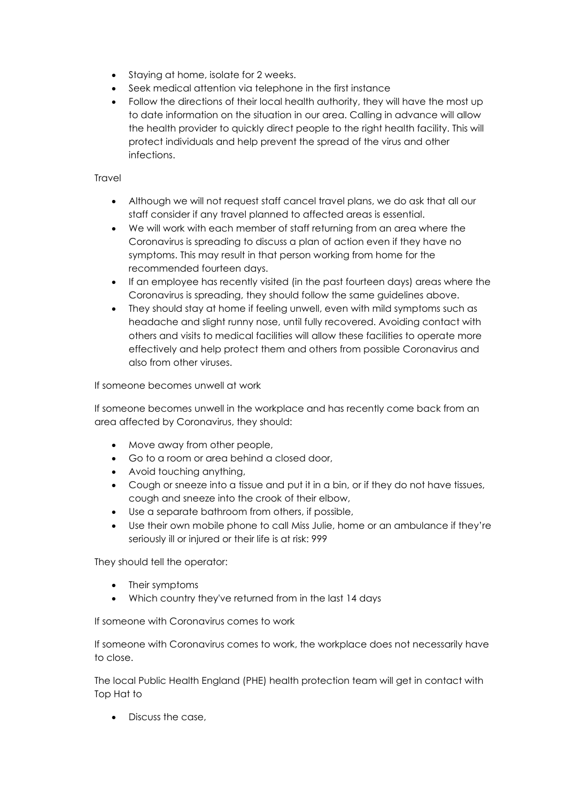- Staying at home, isolate for 2 weeks.
- Seek medical attention via telephone in the first instance
- Follow the directions of their local health authority, they will have the most up to date information on the situation in our area. Calling in advance will allow the health provider to quickly direct people to the right health facility. This will protect individuals and help prevent the spread of the virus and other infections.

## **Travel**

- Although we will not request staff cancel travel plans, we do ask that all our staff consider if any travel planned to affected areas is essential.
- We will work with each member of staff returning from an area where the Coronavirus is spreading to discuss a plan of action even if they have no symptoms. This may result in that person working from home for the recommended fourteen days.
- If an employee has recently visited (in the past fourteen days) areas where the Coronavirus is spreading, they should follow the same guidelines above.
- They should stay at home if feeling unwell, even with mild symptoms such as headache and slight runny nose, until fully recovered. Avoiding contact with others and visits to medical facilities will allow these facilities to operate more effectively and help protect them and others from possible Coronavirus and also from other viruses.

If someone becomes unwell at work

If someone becomes unwell in the workplace and has recently come back from an area affected by Coronavirus, they should:

- Move away from other people,
- Go to a room or area behind a closed door,
- Avoid touching anything,
- Cough or sneeze into a tissue and put it in a bin, or if they do not have tissues, cough and sneeze into the crook of their elbow,
- Use a separate bathroom from others, if possible,
- Use their own mobile phone to call Miss Julie, home or an ambulance if they're seriously ill or injured or their life is at risk: 999

They should tell the operator:

- Their symptoms
- Which country they've returned from in the last 14 days

If someone with Coronavirus comes to work

If someone with Coronavirus comes to work, the workplace does not necessarily have to close.

The local Public Health England (PHE) health protection team will get in contact with Top Hat to

• Discuss the case,